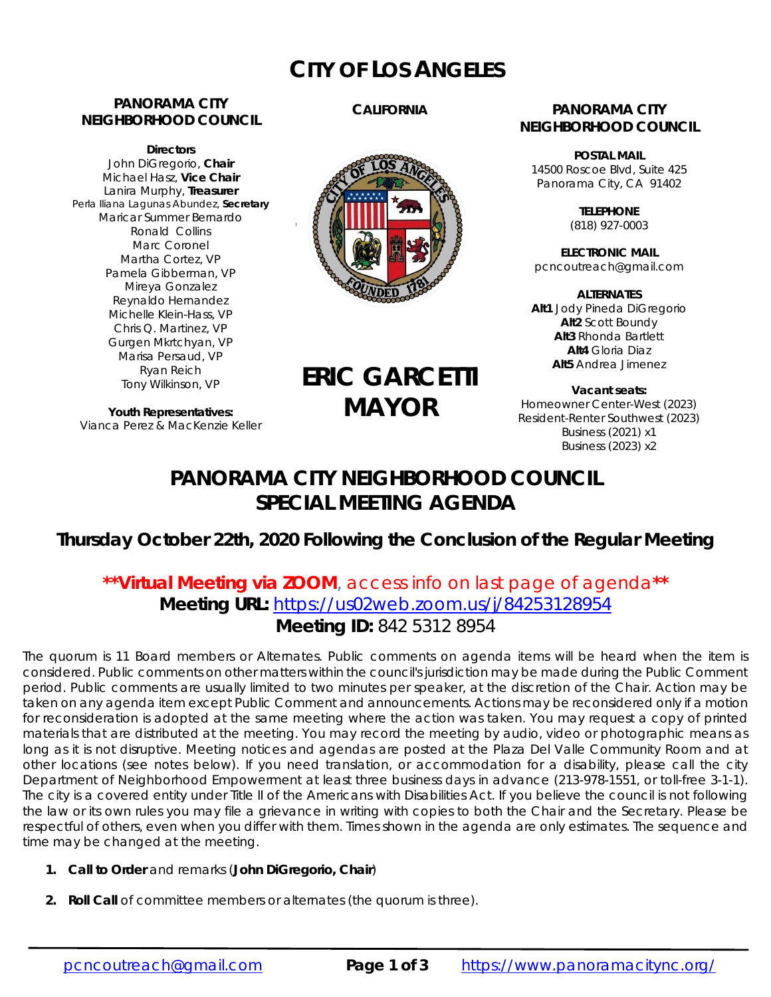# **CITY OF LOS ANGELES**

### **PANORAMA CITY NEIGHBORHOOD COUNCIL**

**Directors**  John DiGregorio, **Chair** Michael Hasz, **Vice Chair** Lanira Murphy, **Treasurer** Perla Iliana Lagunas Abundez, **Secretary** Maricar Summer Bernardo Ronald Collins Marc Coronel Martha Cortez, VP Pamela Gibberman, VP Mireya Gonzalez Reynaldo Hernandez Michelle Klein-Hass, VP Chris Q. Martinez, VP Gurgen Mkrtchyan, VP Marisa Persaud, VP Ryan Reich Tony Wilkinson, VP

**Youth Representatives:**  Vianca Perez & MacKenzie Keller

### **CALIFORNIA**



# **ERIC GARCETTI MAYOR**

### **PANORAMA CITY NEIGHBORHOOD COUNCIL**

**POSTAL MAIL** 14500 Roscoe Blvd, Suite 425 Panorama City, CA 91402

> **TELEPHONE** (818) 927-0003

**ELECTRONIC MAIL** pcncoutreach@gmail.com

**ALTERNATES Alt1** Jody Pineda DiGregorio **Alt2** Scott Boundy **Alt3** Rhonda Bartlett **Alt4** Gloria Diaz **Alt5** Andrea Jimenez

**Vacant seats:**  Homeowner Center-West (2023) Resident-Renter Southwest (2023) Business (2021) x1 Business (2023) x2

## **PANORAMA CITY NEIGHBORHOOD COUNCIL SPECIAL MEETING AGENDA**

### **Thursday October 22th, 2020 Following the Conclusion of the Regular Meeting**

### **\*\*Virtual Meeting via ZOOM**, access info on last page of agenda**\*\* Meeting URL:** https://us02web.zoom.us/j/84253128954 **Meeting ID:** 842 5312 8954

The quorum is 11 Board members or Alternates. Public comments on agenda items will be heard when the item is considered. Public comments on other matters within the council's jurisdiction may be made during the Public Comment period. Public comments are usually limited to two minutes per speaker, at the discretion of the Chair. Action may be taken on any agenda item except Public Comment and announcements. Actions may be reconsidered only if a motion for reconsideration is adopted at the same meeting where the action was taken. You may request a copy of printed materials that are distributed at the meeting. You may record the meeting by audio, video or photographic means as long as it is not disruptive. Meeting notices and agendas are posted at the Plaza Del Valle Community Room and at other locations (see notes below). If you need translation, or accommodation for a disability, please call the city Department of Neighborhood Empowerment at least three business days in advance (213-978-1551, or toll-free 3-1-1). The city is a covered entity under Title II of the Americans with Disabilities Act. If you believe the council is not following the law or its own rules you may file a grievance in writing with copies to both the Chair and the Secretary. Please be respectful of others, even when you differ with them. Times shown in the agenda are only estimates. The sequence and time may be changed at the meeting.

- **1. Call to Order** and remarks (*John DiGregorio***, Chair**)
- **2. Roll Call** of committee members or alternates (the quorum is three).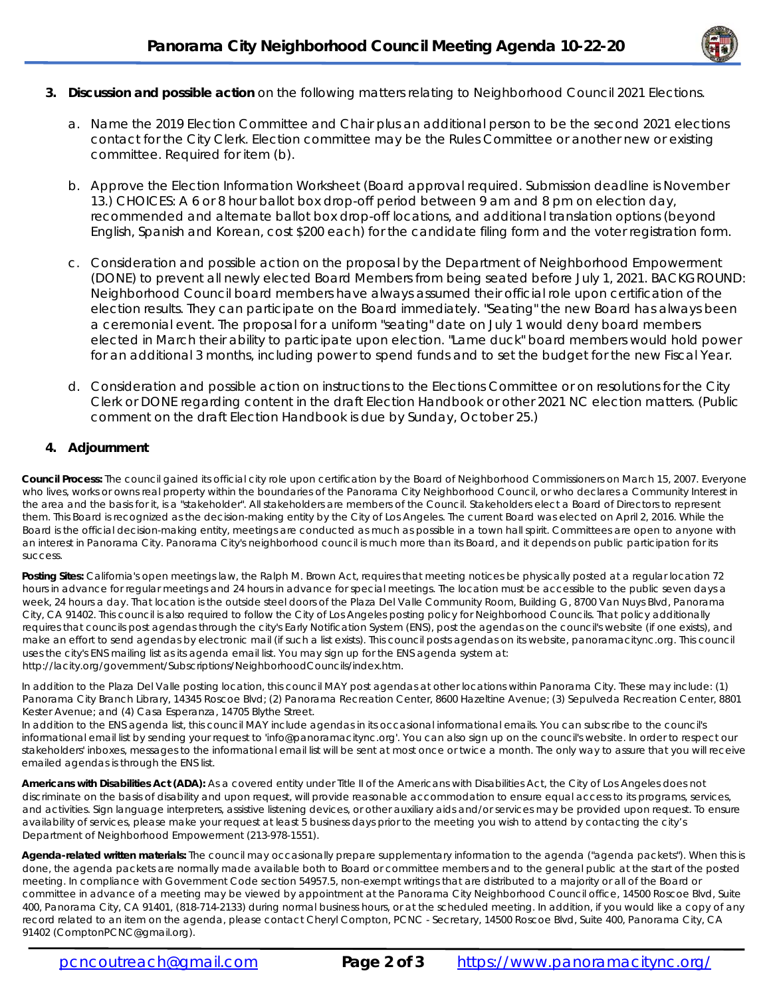

- **3. Discussion and possible action** on the following matters relating to Neighborhood Council 2021 Elections.
	- a. Name the 2019 Election Committee and Chair plus an additional person to be the second 2021 elections contact for the City Clerk. Election committee may be the Rules Committee or another new or existing committee. Required for item (b).
	- b. Approve the Election Information Worksheet (Board approval required. Submission deadline is November 13.) CHOICES: A 6 or 8 hour ballot box drop-off period between 9 am and 8 pm on election day, recommended and alternate ballot box drop-off locations, and additional translation options (beyond English, Spanish and Korean, cost \$200 each) for the candidate filing form and the voter registration form.
	- c. Consideration and possible action on the proposal by the Department of Neighborhood Empowerment (DONE) to prevent all newly elected Board Members from being seated before July 1, 2021. BACKGROUND: Neighborhood Council board members have always assumed their official role upon certification of the election results. They can participate on the Board immediately. "Seating" the new Board has always been a ceremonial event. The proposal for a uniform "seating" date on July 1 would deny board members elected in March their ability to participate upon election. "Lame duck" board members would hold power for an additional 3 months, including power to spend funds and to set the budget for the new Fiscal Year.
	- d. Consideration and possible action on instructions to the Elections Committee or on resolutions for the City Clerk or DONE regarding content in the draft Election Handbook or other 2021 NC election matters. (Public comment on the draft Election Handbook is due by Sunday, October 25.)

#### **4. Adjournment**

**Council Process:** The council gained its official city role upon certification by the Board of Neighborhood Commissioners on March 15, 2007. Everyone who lives, works or owns real property within the boundaries of the Panorama City Neighborhood Council, or who declares a Community Interest in the area and the basis for it, is a "stakeholder". All stakeholders are members of the Council. Stakeholders elect a Board of Directors to represent them. This Board is recognized as the decision-making entity by the City of Los Angeles. The current Board was elected on April 2, 2016. While the Board is the official decision-making entity, meetings are conducted as much as possible in a town hall spirit. Committees are open to anyone with an interest in Panorama City. Panorama City's neighborhood council is much more than its Board, and it depends on public participation for its success.

Posting Sites: California's open meetings law, the Ralph M. Brown Act, requires that meeting notices be physically posted at a regular location 72 hours in advance for regular meetings and 24 hours in advance for special meetings. The location must be accessible to the public seven days a week, 24 hours a day. That location is the outside steel doors of the Plaza Del Valle Community Room, Building G, 8700 Van Nuys Blvd, Panorama City, CA 91402. This council is also required to follow the City of Los Angeles posting policy for Neighborhood Councils. That policy additionally requires that councils post agendas through the city's Early Notification System (ENS), post the agendas on the council's website (if one exists), and make an effort to send agendas by electronic mail (if such a list exists). This council posts agendas on its website, panoramacitync.org. This council uses the city's ENS mailing list as its agenda email list. You may sign up for the ENS agenda system at: http://lacity.org/government/Subscriptions/NeighborhoodCouncils/index.htm.

In addition to the Plaza Del Valle posting location, this council MAY post agendas at other locations within Panorama City. These may include: (1) Panorama City Branch Library, 14345 Roscoe Blvd; (2) Panorama Recreation Center, 8600 Hazeltine Avenue; (3) Sepulveda Recreation Center, 8801 Kester Avenue; and (4) Casa Esperanza, 14705 Blythe Street.

In addition to the ENS agenda list, this council MAY include agendas in its occasional informational emails. You can subscribe to the council's informational email list by sending your request to 'info@panoramacitync.org'. You can also sign up on the council's website. In order to respect our stakeholders' inboxes, messages to the informational email list will be sent at most once or twice a month. *The only way to assure that you will receive emailed agendas is through the ENS list.* 

**Americans with Disabilities Act (ADA):** As a covered entity under Title II of the Americans with Disabilities Act, the City of Los Angeles does not discriminate on the basis of disability and upon request, will provide reasonable accommodation to ensure equal access to its programs, services, and activities. Sign language interpreters, assistive listening devices, or other auxiliary aids and/or services may be provided upon request. To ensure availability of services, please make your request at least 5 business days prior to the meeting you wish to attend by contacting the city's Department of Neighborhood Empowerment (213-978-1551).

**Agenda-related written materials:** The council may occasionally prepare supplementary information to the agenda ("agenda packets"). When this is done, the agenda packets are normally made available both to Board or committee members and to the general public at the start of the posted meeting. In compliance with Government Code section 54957.5, non-exempt writings that are distributed to a majority or all of the Board or committee *in advance of a meeting* may be viewed by appointment at the Panorama City Neighborhood Council office, 14500 Roscoe Blvd, Suite 400, Panorama City, CA 91401, (818-714-2133) during normal business hours, or at the scheduled meeting. In addition, if you would like a copy of any record related to an item on the agenda, please contact Cheryl Compton, PCNC - Secretary, 14500 Roscoe Blvd, Suite 400, Panorama City, CA 91402 (ComptonPCNC@gmail.org).